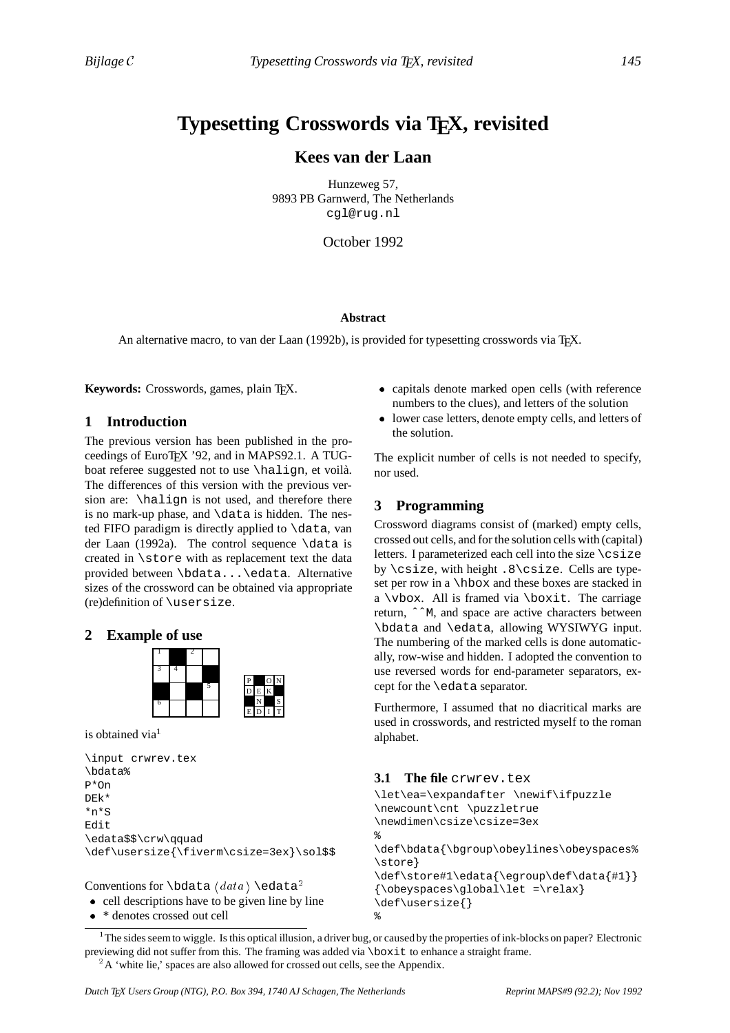# **Typesetting Crosswords via TEX, revisited**

# **Kees van der Laan**

Hunzeweg 57, 9893 PB Garnwerd, The Netherlands cgl@rug.nl

October 1992

### **Abstract**

An alternative macro, to van der Laan (1992b), is provided for typesetting crosswords via TEX.

Keywords: Crosswords, games, plain T<sub>E</sub>X.

### **1 Introduction**

The previous version has been published in the proceedings of EuroTEX '92, and in MAPS92.1. A TUGboat referee suggested not to use  $\hbox{halign, et void}.$ The differences of this version with the previous version are: \halign is not used, and therefore there is no mark-up phase, and  $\data$  is hidden. The nested FIFO paradigm is directly applied to \data, van der Laan (1992a). The control sequence  $\data$  is created in \store with as replacement text the data provided between \bdata...\edata. Alternative sizes of the crossword can be obtained via appropriate (re)definition of \usersize.

# **2 Example of use**



is obtained via<sup>1</sup>

\input crwrev.tex \bdata% P\*On DEk\* \*n\*S Edit \edata\$\$\crw\qquad \def\usersize{\fiverm\csize=3ex}\sol\$\$

Conventions for \bdata  $\langle data \rangle \$ \edata<sup>2</sup>

```
• cell descriptions have to be given line by line
```
• \* denotes crossed out cell

- capitals denote marked open cells (with reference numbers to the clues), and letters of the solution
- lower case letters, denote empty cells, and letters of the solution.

The explicit number of cells is not needed to specify, nor used.

# **3 Programming**

Crossword diagrams consist of (marked) empty cells, crossed out cells, and for the solution cells with (capital) letters. I parameterized each cell into the size  $\csc$ by \csize, with height .8\csize. Cells are typeset per row in a \hbox and these boxes are stacked in a \vbox. All is framed via \boxit. The carriage return, ˆˆM, and space are active characters between \bdata and \edata, allowing WYSIWYG input. The numbering of the marked cells is done automatically, row-wise and hidden. I adopted the convention to use reversed words for end-parameter separators, except for the \edata separator.

Furthermore, I assumed that no diacritical marks are used in crosswords, and restricted myself to the roman alphabet.

# **3.1 The file** crwrev.tex

\let\ea=\expandafter \newif\ifpuzzle \newcount\cnt \puzzletrue \newdimen\csize\csize=3ex % \def\bdata{\bgroup\obeylines\obeyspaces% \store} \def\store#1\edata{\egroup\def\data{#1}} {\obeyspaces\global\let =\relax} \def\usersize{} %

<sup>1</sup> The sides seem to wiggle. Is this optical illusion, a driver bug, or caused by the properties of ink-blocks on paper? Electronic previewing did not suffer from this. The framing was added via \boxit to enhance a straight frame.

 ${}^{2}$ A 'white lie,' spaces are also allowed for crossed out cells, see the Appendix.